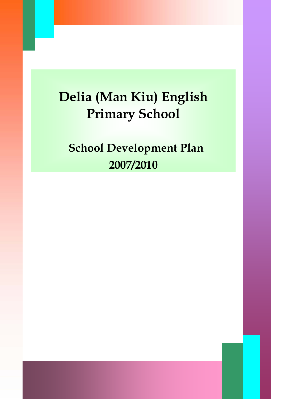# **Delia (Man Kiu) English Primary School**

**School Development Plan 2007/2010**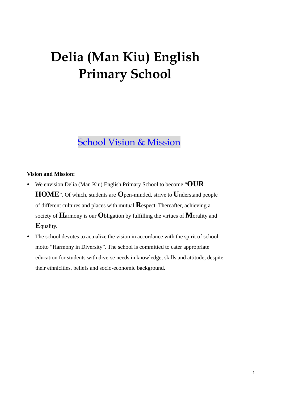## **Delia (Man Kiu) English Primary School**

## School Vision & Mission

#### **Vision and Mission:**

- y We envision Delia (Man Kiu) English Primary School to become "**OUR HOME**". Of which, students are **O**pen-minded, strive to **U**nderstand people of different cultures and places with mutual **R**espect. Thereafter, achieving a society of **H**armony is our **O**bligation by fulfilling the virtues of **M**orality and **E**quality.
- The school devotes to actualize the vision in accordance with the spirit of school motto "Harmony in Diversity". The school is committed to cater appropriate education for students with diverse needs in knowledge, skills and attitude, despite their ethnicities, beliefs and socio-economic background.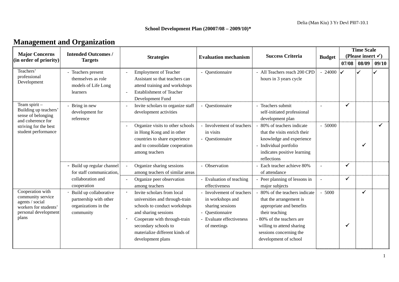#### **School Development Plan (20007/08 – 2009/10)\***

| <b>Management and Organization</b> |  |
|------------------------------------|--|
|------------------------------------|--|

| <b>Major Concerns</b>                                                                                              | <b>Intended Outcomes /</b>                                                            |                                                                                                                                                                                                                                     |                                                                                                                           | <b>Success Criteria</b>                                                                                                                                                                                             |               | <b>Time Scale</b><br>(Please insert $\checkmark$ ) |              |       |  |
|--------------------------------------------------------------------------------------------------------------------|---------------------------------------------------------------------------------------|-------------------------------------------------------------------------------------------------------------------------------------------------------------------------------------------------------------------------------------|---------------------------------------------------------------------------------------------------------------------------|---------------------------------------------------------------------------------------------------------------------------------------------------------------------------------------------------------------------|---------------|----------------------------------------------------|--------------|-------|--|
| (in order of priority)                                                                                             | <b>Targets</b>                                                                        | <b>Strategies</b>                                                                                                                                                                                                                   | <b>Evaluation mechanism</b>                                                                                               |                                                                                                                                                                                                                     | <b>Budget</b> | 07/08                                              | 08/09        | 09/10 |  |
| Teachers'<br>professional<br>Development                                                                           | - Teachers present<br>themselves as role<br>models of Life Long<br>learners           | <b>Employment of Teacher</b><br>Assistant so that teachers can<br>attend training and workshops<br><b>Establishment of Teacher</b><br>Development Fund                                                                              | - Questionnaire                                                                                                           | - All Teachers reach 200 CPD<br>hours in 3 years cycle                                                                                                                                                              | 24000         |                                                    |              |       |  |
| Team spirit -<br>Building up teachers'<br>sense of belonging                                                       | Bring in new<br>development for<br>reference                                          | Invite scholars to organize staff<br>development activities                                                                                                                                                                         | Questionnaire                                                                                                             | - Teachers submit<br>self-initiated professional<br>development plan                                                                                                                                                |               | $\checkmark$                                       |              |       |  |
| and coherence for<br>striving for the best<br>student performance                                                  |                                                                                       | Organize visits to other schools<br>in Hong Kong and in other<br>countries to share experience<br>and to consolidate cooperation<br>among teachers                                                                                  | - Involvement of teachers<br>in visits<br>- Questionnaire                                                                 | 80% of teachers indicate<br>that the visits enrich their<br>knowledge and experience<br>- Individual portfolio<br>indicates positive learning<br>reflections                                                        | $-50000$      |                                                    |              | ✓     |  |
|                                                                                                                    | - Build up regular channel<br>for staff communication,                                | Organize sharing sessions<br>among teachers of similar areas                                                                                                                                                                        | - Observation                                                                                                             | - Each teacher achieve 80%<br>of attendance                                                                                                                                                                         | $\sim$        | $\checkmark$                                       |              |       |  |
|                                                                                                                    | collaboration and<br>cooperation                                                      | Organize peer observation<br>among teachers                                                                                                                                                                                         | - Evaluation of teaching<br>effectiveness                                                                                 | - Peer planning of lessons in<br>major subjects                                                                                                                                                                     | $\sim$        | $\checkmark$                                       |              |       |  |
| Cooperation with<br>community service<br>agents / social<br>workers for students'<br>personal development<br>plans | Build up collaborative<br>partnership with other<br>organizations in the<br>community | Invite scholars from local<br>universities and through-train<br>schools to conduct workshops<br>and sharing sessions<br>Cooperate with through-train<br>secondary schools to<br>materialize different kinds of<br>development plans | Involvement of teachers<br>in workshops and<br>sharing sessions<br>Questionnaire<br>Evaluate effectiveness<br>of meetings | 80% of the teachers indicate<br>that the arrangement is<br>appropriate and benefits<br>their teaching<br>- 80% of the teachers are<br>willing to attend sharing<br>sessions concerning the<br>development of school | $-5000$       | √                                                  | $\checkmark$ |       |  |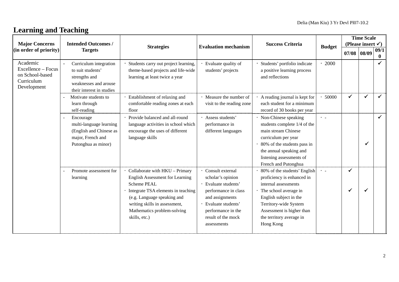## **Learning and Teaching**

| <b>Major Concerns</b>                                                          | <b>Intended Outcomes /</b>                                                                                         |                                                                                                                                                                                                                                                      |                                                                                                                                                                                             | <b>Success Criteria</b>                                                                                                                                                                                                                |                    | <b>Time Scale</b><br>(Please insert $\checkmark$ ) |       |                      |  |  |
|--------------------------------------------------------------------------------|--------------------------------------------------------------------------------------------------------------------|------------------------------------------------------------------------------------------------------------------------------------------------------------------------------------------------------------------------------------------------------|---------------------------------------------------------------------------------------------------------------------------------------------------------------------------------------------|----------------------------------------------------------------------------------------------------------------------------------------------------------------------------------------------------------------------------------------|--------------------|----------------------------------------------------|-------|----------------------|--|--|
| (in order of priority)                                                         | <b>Targets</b>                                                                                                     | <b>Strategies</b>                                                                                                                                                                                                                                    | <b>Evaluation mechanism</b>                                                                                                                                                                 |                                                                                                                                                                                                                                        | <b>Budget</b>      | 07/08                                              | 08/09 | 09/1<br>$\mathbf{0}$ |  |  |
| Academic<br>Excellence - Focus<br>on School-based<br>Curriculum<br>Development | Curriculum integration<br>to suit students'<br>strengths and<br>weaknesses and arouse<br>their interest in studies | Students carry out project learning,<br>theme-based projects and life-wide<br>learning at least twice a year                                                                                                                                         | Evaluate quality of<br>students' projects                                                                                                                                                   | Students' portfolio indicate<br>a positive learning process<br>and reflections                                                                                                                                                         | 2000               |                                                    |       |                      |  |  |
|                                                                                | Motivate students to<br>learn through<br>self-reading                                                              | Establishment of relaxing and<br>comfortable reading zones at each<br>floor                                                                                                                                                                          | · Measure the number of<br>visit to the reading zone                                                                                                                                        | A reading journal is kept for<br>each student for a minimum<br>record of 30 books per year                                                                                                                                             | 50000              | $\checkmark$                                       | ✓     |                      |  |  |
|                                                                                | Encourage<br>multi-language learning<br>(English and Chinese as<br>major, French and<br>Putonghua as minor)        | Provide balanced and all-round<br>language activities in school which<br>encourage the uses of different<br>language skills                                                                                                                          | · Assess students'<br>performance in<br>different languages                                                                                                                                 | · Non-Chinese speaking<br>students complete 1/4 of the<br>main stream Chinese<br>curriculum per year<br>80% of the students pass in<br>the annual speaking and<br>listening assessments of<br>French and Putonghua                     | $\bullet$ . $\bot$ |                                                    |       |                      |  |  |
|                                                                                | Promote assessment for<br>learning                                                                                 | Collaborate with HKU - Primary<br><b>English Assessment for Learning</b><br><b>Scheme PEAL</b><br>Integrate TSA elements in teaching<br>(e.g. Language speaking and<br>writing skills in assessment,<br>Mathematics problem-solving<br>skills, etc.) | · Consult external<br>scholar's opinion<br>Evaluate students'<br>performance in class<br>and assignments<br>· Evaluate students'<br>performance in the<br>result of the mock<br>assessments | 80% of the students' English<br>proficiency is enhanced in<br>internal assessments<br>· The school average in<br>English subject in the<br>Territory-wide System<br>Assessment is higher than<br>the territory average in<br>Hong Kong | $\cdot$ .          | ✓<br>✓                                             |       |                      |  |  |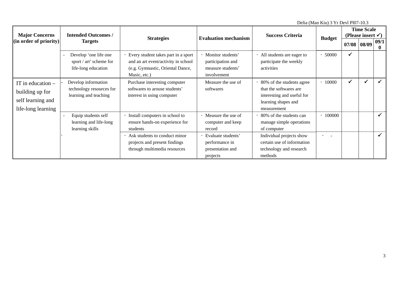Delia (Man Kiu) 3 Yr Devl Pl07-10.3

| <b>Major Concerns</b>                                                             | <b>Intended Outcomes /</b>                                                 |                                                                                                                                |                                                                              | <b>Success Criteria</b>                                                                                                 |                | <b>Time Scale</b><br>(Please insert $\checkmark$ ) |       |                      |  |  |
|-----------------------------------------------------------------------------------|----------------------------------------------------------------------------|--------------------------------------------------------------------------------------------------------------------------------|------------------------------------------------------------------------------|-------------------------------------------------------------------------------------------------------------------------|----------------|----------------------------------------------------|-------|----------------------|--|--|
| (i <sub>n</sub> order of priority)                                                | <b>Targets</b>                                                             | <b>Strategies</b>                                                                                                              | <b>Evaluation mechanism</b>                                                  |                                                                                                                         | <b>Budget</b>  | 07/08                                              | 08/09 | 09/1<br>$\mathbf{0}$ |  |  |
|                                                                                   | Develop 'one life one<br>sport / art' scheme for<br>life-long education    | Every student takes part in a sport<br>and an art event/activity in school<br>(e.g. Gymnastic, Oriental Dance,<br>Music, etc.) | · Monitor students'<br>participation and<br>measure students'<br>involvement | All students are eager to<br>participate the weekly<br>activities                                                       | 50000          | $\checkmark$                                       |       |                      |  |  |
| IT in education $-$<br>building up for<br>self learning and<br>life-long learning | Develop information<br>technology resources for<br>learning and teaching   | Purchase interesting computer<br>softwares to arouse students'<br>interest in using computer                                   | Measure the use of<br>softwares                                              | 80% of the students agree<br>that the softwares are<br>interesting and useful for<br>learning shapes and<br>measurement | 10000          |                                                    |       |                      |  |  |
|                                                                                   | Equip students self<br>$\sim$<br>learning and life-long<br>learning skills | Install computers in school to<br>ensure hands-on experience for<br>students                                                   | • Measure the use of<br>computer and keep<br>record                          | 80% of the students can<br>manage simple operations<br>of computer                                                      | $\cdot$ 100000 |                                                    |       | ✔                    |  |  |
|                                                                                   |                                                                            | Ask students to conduct minor<br>projects and present findings<br>through multimedia resources                                 | Evaluate students'<br>performance in<br>presentation and<br>projects         | Individual projects show<br>certain use of information<br>technology and research<br>methods                            |                |                                                    |       | ✔                    |  |  |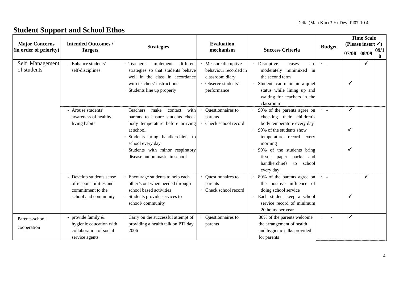## **Student Support and School Ethos**

|                                                 |                                                                                                  |                                                                                                                                                                                                                                                        |                                                                                                      |                                                                                                                                                                                                                                                                                   |                         | <b>Time Scale</b><br>(Please insert $\checkmark$ ) |              |              |  |
|-------------------------------------------------|--------------------------------------------------------------------------------------------------|--------------------------------------------------------------------------------------------------------------------------------------------------------------------------------------------------------------------------------------------------------|------------------------------------------------------------------------------------------------------|-----------------------------------------------------------------------------------------------------------------------------------------------------------------------------------------------------------------------------------------------------------------------------------|-------------------------|----------------------------------------------------|--------------|--------------|--|
| <b>Major Concerns</b><br>(in order of priority) | <b>Intended Outcomes /</b><br><b>Targets</b>                                                     | <b>Strategies</b>                                                                                                                                                                                                                                      | <b>Evaluation</b><br>mechanism                                                                       | <b>Success Criteria</b>                                                                                                                                                                                                                                                           | <b>Budget</b>           |                                                    | 08/09        | 09/1         |  |
|                                                 |                                                                                                  |                                                                                                                                                                                                                                                        |                                                                                                      |                                                                                                                                                                                                                                                                                   |                         | 07/08                                              |              | $\mathbf{0}$ |  |
| Self Management<br>of students                  | - Enhance students'<br>self-disciplines                                                          | different<br>Teachers<br>implement<br>strategies so that students behave<br>well in the class in accordance<br>with teachers' instructions<br>Students line up properly                                                                                | Measure disruptive<br>behaviour recorded in<br>classroom diary<br>· Observe students'<br>performance | Disruptive<br>cases<br>are<br>minimixed in<br>moderately<br>the second term<br>Students can maintain a quiet<br>status while lining up and<br>waiting for teachers in the<br>classroom                                                                                            | $\cdot$ $\cdot$         | ✓                                                  | $\checkmark$ |              |  |
|                                                 | - Arouse students'<br>awareness of healthy<br>living habits                                      | · Teachers<br>make<br>contact<br>with<br>parents to ensure students check<br>body temperature before arriving<br>at school<br>Students bring handkerchiefs to<br>school every day<br>Students with minor respiratory<br>disease put on masks in school | Questionnaires to<br>parents<br>Check school record                                                  | 90% of the parents agree on<br>checking their children's<br>body temperature every day<br>90% of the students show<br>$\bullet$<br>temperature record every<br>morning<br>90% of the students bring<br>packs and<br>paper<br>tissue<br>handkerchiefs<br>school<br>to<br>every day | $\bullet$ . $\bullet$ . | $\checkmark$<br>✓<br>✓                             |              |              |  |
|                                                 | - Develop students sense<br>of responsibilities and<br>commitment to the<br>school and community | · Encourage students to help each<br>other's out when needed through<br>school based activities<br>Students provide services to<br>school/community                                                                                                    | Questionnaires to<br>parents<br>· Check school record                                                | 80% of the parents agree on<br>the positive influence of<br>doing school service<br>Each student keep a school<br>service record of minimum<br>20 hours per year                                                                                                                  |                         | ✓                                                  | ✔            |              |  |
| Parents-school<br>cooperation                   | - provide family &<br>hygienic education with<br>collaboration of social<br>service agents       | Carry on the successful attempt of<br>providing a health talk on PTI day<br>2006                                                                                                                                                                       | Questionnaires to<br>parents                                                                         | 80% of the parents welcome<br>the arrangement of health<br>and hygienic talks provided<br>for parents                                                                                                                                                                             | - 4                     | $\checkmark$                                       |              |              |  |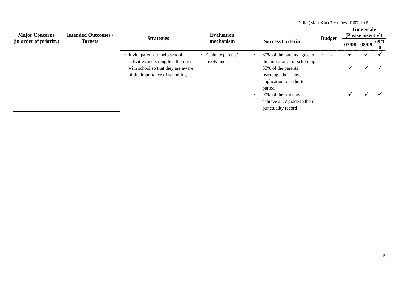| Delia (Man Kiu) 3 Yr Devl Pl07-10.5     |                            |                                      |                   |                              |               |                                                    |  |                      |  |
|-----------------------------------------|----------------------------|--------------------------------------|-------------------|------------------------------|---------------|----------------------------------------------------|--|----------------------|--|
| <b>Major Concerns</b>                   | <b>Intended Outcomes /</b> | <b>Strategies</b>                    | <b>Evaluation</b> |                              | <b>Budget</b> | <b>Time Scale</b><br>(Please insert $\checkmark$ ) |  |                      |  |
| $\left  \right $ (in order of priority) | <b>Targets</b>             |                                      | mechanism         | <b>Success Criteria</b>      |               | 07/08 08/09                                        |  | 09/1 <br>$\mathbf 0$ |  |
|                                         |                            | Invite parents to help school        | Evaluate parents' | 80% of the parents agree on  |               |                                                    |  |                      |  |
|                                         |                            | activities and strengthen their ties | involvement       | the importance of schooling  |               |                                                    |  |                      |  |
|                                         |                            | with school so that they are aware   |                   | 50% of the parents           |               |                                                    |  |                      |  |
|                                         |                            | of the importance of schooling       |                   | rearrange their leave        |               |                                                    |  |                      |  |
|                                         |                            |                                      |                   | application to a shorter     |               |                                                    |  |                      |  |
|                                         |                            |                                      |                   | period                       |               |                                                    |  |                      |  |
|                                         |                            |                                      |                   | 90% of the students          |               |                                                    |  |                      |  |
|                                         |                            |                                      |                   | achieve a 'A' grade in their |               |                                                    |  |                      |  |
|                                         |                            |                                      |                   | punctuality record           |               |                                                    |  |                      |  |